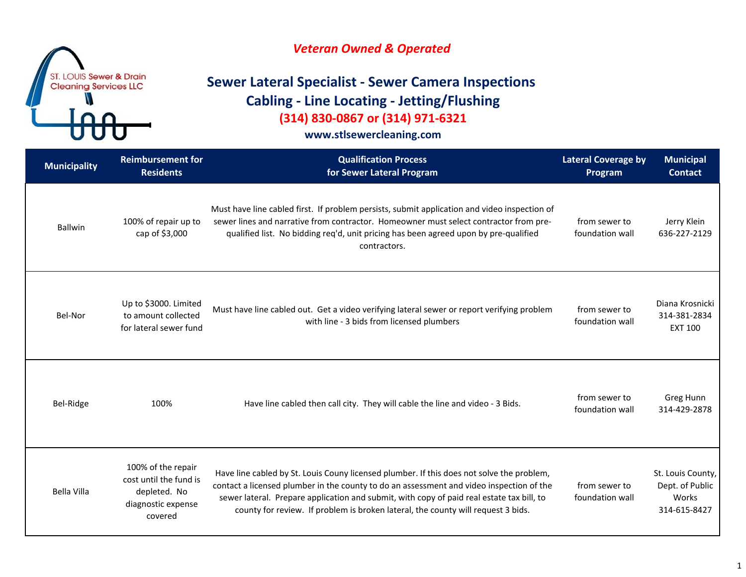

# **Sewer Lateral Specialist ‐ Sewer Camera Inspections Cabling ‐ Line Locating ‐ Jetting/Flushing (314) 830‐0867 or (314) 971‐6321**

| <b>Municipality</b> | <b>Reimbursement for</b><br><b>Residents</b>                                                  | <b>Qualification Process</b><br>for Sewer Lateral Program                                                                                                                                                                                                                                                                                                              | <b>Lateral Coverage by</b><br>Program | <b>Municipal</b><br><b>Contact</b>                            |
|---------------------|-----------------------------------------------------------------------------------------------|------------------------------------------------------------------------------------------------------------------------------------------------------------------------------------------------------------------------------------------------------------------------------------------------------------------------------------------------------------------------|---------------------------------------|---------------------------------------------------------------|
| <b>Ballwin</b>      | 100% of repair up to<br>cap of \$3,000                                                        | Must have line cabled first. If problem persists, submit application and video inspection of<br>sewer lines and narrative from contractor. Homeowner must select contractor from pre-<br>qualified list. No bidding req'd, unit pricing has been agreed upon by pre-qualified<br>contractors.                                                                          | from sewer to<br>foundation wall      | Jerry Klein<br>636-227-2129                                   |
| Bel-Nor             | Up to \$3000. Limited<br>to amount collected<br>for lateral sewer fund                        | Must have line cabled out. Get a video verifying lateral sewer or report verifying problem<br>with line - 3 bids from licensed plumbers                                                                                                                                                                                                                                | from sewer to<br>foundation wall      | Diana Krosnicki<br>314-381-2834<br><b>EXT 100</b>             |
| Bel-Ridge           | 100%                                                                                          | Have line cabled then call city. They will cable the line and video - 3 Bids.                                                                                                                                                                                                                                                                                          | from sewer to<br>foundation wall      | Greg Hunn<br>314-429-2878                                     |
| Bella Villa         | 100% of the repair<br>cost until the fund is<br>depleted. No<br>diagnostic expense<br>covered | Have line cabled by St. Louis Couny licensed plumber. If this does not solve the problem,<br>contact a licensed plumber in the county to do an assessment and video inspection of the<br>sewer lateral. Prepare application and submit, with copy of paid real estate tax bill, to<br>county for review. If problem is broken lateral, the county will request 3 bids. | from sewer to<br>foundation wall      | St. Louis County,<br>Dept. of Public<br>Works<br>314-615-8427 |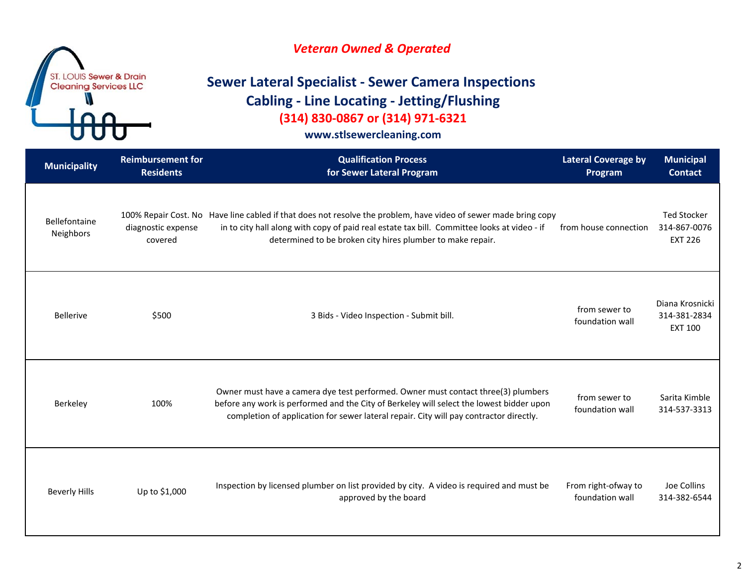

# **Sewer Lateral Specialist ‐ Sewer Camera Inspections Cabling ‐ Line Locating ‐ Jetting/Flushing (314) 830‐0867 or (314) 971‐6321**

| <b>Municipality</b>        | <b>Reimbursement for</b><br><b>Residents</b> | <b>Qualification Process</b><br>for Sewer Lateral Program                                                                                                                                                                                                                    | <b>Lateral Coverage by</b><br>Program  | <b>Municipal</b><br><b>Contact</b>                   |
|----------------------------|----------------------------------------------|------------------------------------------------------------------------------------------------------------------------------------------------------------------------------------------------------------------------------------------------------------------------------|----------------------------------------|------------------------------------------------------|
| Bellefontaine<br>Neighbors | diagnostic expense<br>covered                | 100% Repair Cost. No Have line cabled if that does not resolve the problem, have video of sewer made bring copy<br>in to city hall along with copy of paid real estate tax bill. Committee looks at video - if<br>determined to be broken city hires plumber to make repair. | from house connection                  | <b>Ted Stocker</b><br>314-867-0076<br><b>EXT 226</b> |
| <b>Bellerive</b>           | \$500                                        | 3 Bids - Video Inspection - Submit bill.                                                                                                                                                                                                                                     | from sewer to<br>foundation wall       | Diana Krosnicki<br>314-381-2834<br><b>EXT 100</b>    |
| Berkeley                   | 100%                                         | Owner must have a camera dye test performed. Owner must contact three(3) plumbers<br>before any work is performed and the City of Berkeley will select the lowest bidder upon<br>completion of application for sewer lateral repair. City will pay contractor directly.      | from sewer to<br>foundation wall       | Sarita Kimble<br>314-537-3313                        |
| <b>Beverly Hills</b>       | Up to \$1,000                                | Inspection by licensed plumber on list provided by city. A video is required and must be<br>approved by the board                                                                                                                                                            | From right-ofway to<br>foundation wall | Joe Collins<br>314-382-6544                          |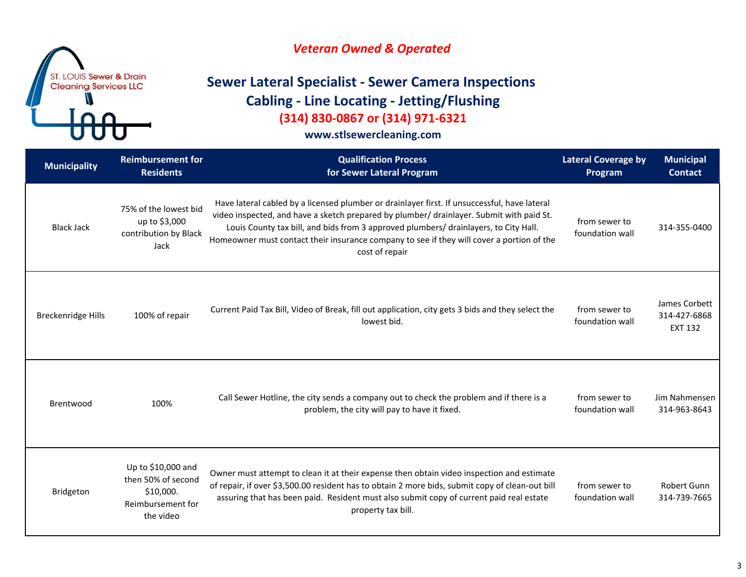

# **Sewer Lateral Specialist ‐ Sewer Camera Inspections Cabling ‐ Line Locating ‐ Jetting/Flushing (314) 830‐0867 or (314) 971‐6321**

| <b>Municipality</b>       | <b>Reimbursement for</b><br><b>Residents</b>                                            | <b>Qualification Process</b><br>for Sewer Lateral Program                                                                                                                                                                                                                                                                                                                                       | <b>Lateral Coverage by</b><br>Program | <b>Municipal</b><br><b>Contact</b>              |
|---------------------------|-----------------------------------------------------------------------------------------|-------------------------------------------------------------------------------------------------------------------------------------------------------------------------------------------------------------------------------------------------------------------------------------------------------------------------------------------------------------------------------------------------|---------------------------------------|-------------------------------------------------|
| <b>Black Jack</b>         | 75% of the lowest bid<br>up to \$3,000<br>contribution by Black<br>Jack                 | Have lateral cabled by a licensed plumber or drainlayer first. If unsuccessful, have lateral<br>video inspected, and have a sketch prepared by plumber/ drainlayer. Submit with paid St.<br>Louis County tax bill, and bids from 3 approved plumbers/ drainlayers, to City Hall.<br>Homeowner must contact their insurance company to see if they will cover a portion of the<br>cost of repair | from sewer to<br>foundation wall      | 314-355-0400                                    |
| <b>Breckenridge Hills</b> | 100% of repair                                                                          | Current Paid Tax Bill, Video of Break, fill out application, city gets 3 bids and they select the<br>lowest bid.                                                                                                                                                                                                                                                                                | from sewer to<br>foundation wall      | James Corbett<br>314-427-6868<br><b>EXT 132</b> |
| Brentwood                 | 100%                                                                                    | Call Sewer Hotline, the city sends a company out to check the problem and if there is a<br>problem, the city will pay to have it fixed.                                                                                                                                                                                                                                                         | from sewer to<br>foundation wall      | Jim Nahmensen<br>314-963-8643                   |
| <b>Bridgeton</b>          | Up to \$10,000 and<br>then 50% of second<br>\$10,000.<br>Reimbursement for<br>the video | Owner must attempt to clean it at their expense then obtain video inspection and estimate<br>of repair, if over \$3,500.00 resident has to obtain 2 more bids, submit copy of clean-out bill<br>assuring that has been paid. Resident must also submit copy of current paid real estate<br>property tax bill.                                                                                   | from sewer to<br>foundation wall      | Robert Gunn<br>314-739-7665                     |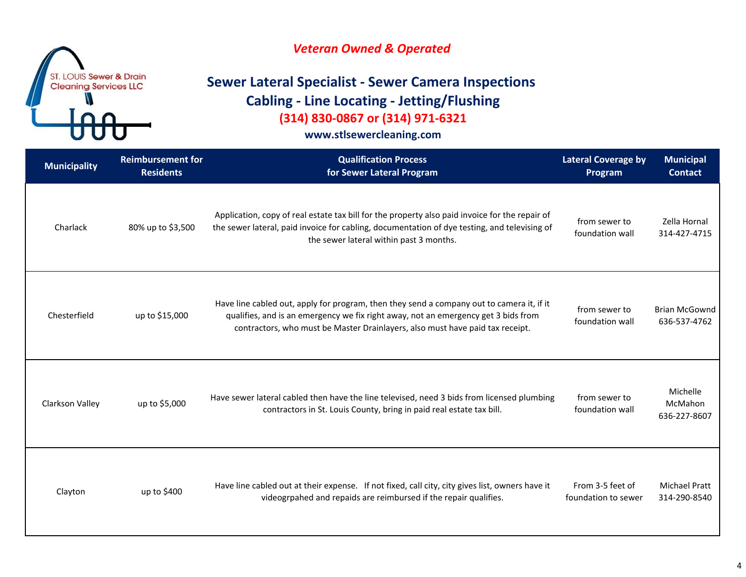

# **Sewer Lateral Specialist ‐ Sewer Camera Inspections Cabling ‐ Line Locating ‐ Jetting/Flushing (314) 830‐0867 or (314) 971‐6321**

| <b>Municipality</b> | <b>Reimbursement for</b><br><b>Residents</b> | <b>Qualification Process</b><br>for Sewer Lateral Program                                                                                                                                                                                                        | <b>Lateral Coverage by</b><br>Program   | <b>Municipal</b><br><b>Contact</b>   |
|---------------------|----------------------------------------------|------------------------------------------------------------------------------------------------------------------------------------------------------------------------------------------------------------------------------------------------------------------|-----------------------------------------|--------------------------------------|
| Charlack            | 80% up to \$3,500                            | Application, copy of real estate tax bill for the property also paid invoice for the repair of<br>the sewer lateral, paid invoice for cabling, documentation of dye testing, and televising of<br>the sewer lateral within past 3 months.                        | from sewer to<br>foundation wall        | Zella Hornal<br>314-427-4715         |
| Chesterfield        | up to \$15,000                               | Have line cabled out, apply for program, then they send a company out to camera it, if it<br>qualifies, and is an emergency we fix right away, not an emergency get 3 bids from<br>contractors, who must be Master Drainlayers, also must have paid tax receipt. | from sewer to<br>foundation wall        | <b>Brian McGownd</b><br>636-537-4762 |
| Clarkson Valley     | up to \$5,000                                | Have sewer lateral cabled then have the line televised, need 3 bids from licensed plumbing<br>contractors in St. Louis County, bring in paid real estate tax bill.                                                                                               | from sewer to<br>foundation wall        | Michelle<br>McMahon<br>636-227-8607  |
| Clayton             | up to \$400                                  | Have line cabled out at their expense. If not fixed, call city, city gives list, owners have it<br>videogrpahed and repaids are reimbursed if the repair qualifies.                                                                                              | From 3-5 feet of<br>foundation to sewer | <b>Michael Pratt</b><br>314-290-8540 |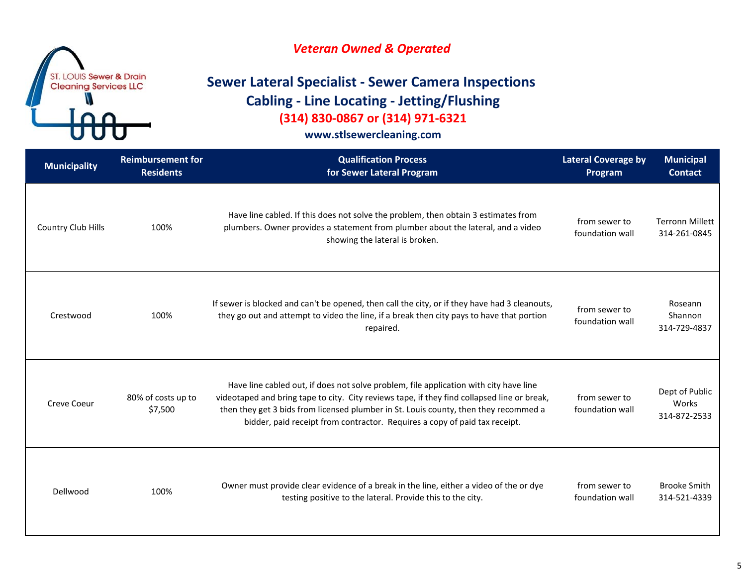

# **Sewer Lateral Specialist ‐ Sewer Camera Inspections Cabling ‐ Line Locating ‐ Jetting/Flushing (314) 830‐0867 or (314) 971‐6321**

| <b>Municipality</b> | <b>Reimbursement for</b><br><b>Residents</b> | <b>Qualification Process</b><br>for Sewer Lateral Program                                                                                                                                                                                                                                                                                                  | <b>Lateral Coverage by</b><br>Program | <b>Municipal</b><br><b>Contact</b>      |
|---------------------|----------------------------------------------|------------------------------------------------------------------------------------------------------------------------------------------------------------------------------------------------------------------------------------------------------------------------------------------------------------------------------------------------------------|---------------------------------------|-----------------------------------------|
| Country Club Hills  | 100%                                         | Have line cabled. If this does not solve the problem, then obtain 3 estimates from<br>plumbers. Owner provides a statement from plumber about the lateral, and a video<br>showing the lateral is broken.                                                                                                                                                   | from sewer to<br>foundation wall      | <b>Terronn Millett</b><br>314-261-0845  |
| Crestwood           | 100%                                         | If sewer is blocked and can't be opened, then call the city, or if they have had 3 cleanouts,<br>they go out and attempt to video the line, if a break then city pays to have that portion<br>repaired.                                                                                                                                                    | from sewer to<br>foundation wall      | Roseann<br>Shannon<br>314-729-4837      |
| Creve Coeur         | 80% of costs up to<br>\$7,500                | Have line cabled out, if does not solve problem, file application with city have line<br>videotaped and bring tape to city. City reviews tape, if they find collapsed line or break,<br>then they get 3 bids from licensed plumber in St. Louis county, then they recommed a<br>bidder, paid receipt from contractor. Requires a copy of paid tax receipt. | from sewer to<br>foundation wall      | Dept of Public<br>Works<br>314-872-2533 |
| Dellwood            | 100%                                         | Owner must provide clear evidence of a break in the line, either a video of the or dye<br>testing positive to the lateral. Provide this to the city.                                                                                                                                                                                                       | from sewer to<br>foundation wall      | <b>Brooke Smith</b><br>314-521-4339     |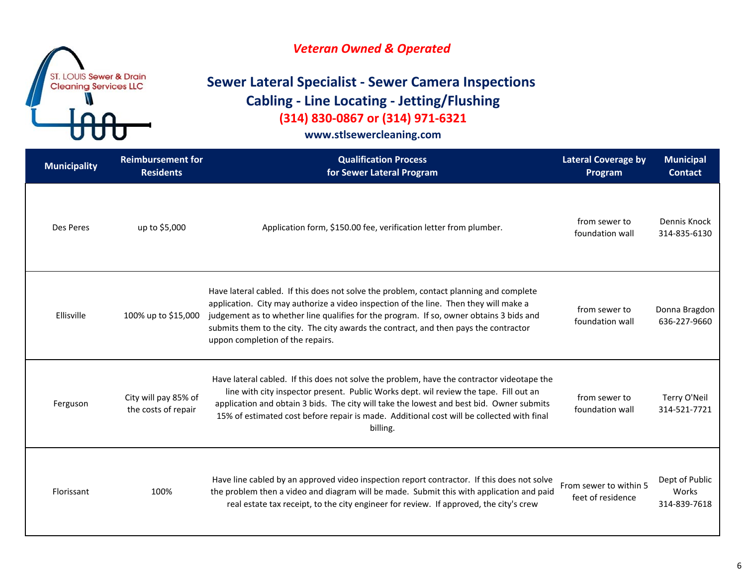### *Veteran Owned & Operated*

# **Sewer Lateral Specialist ‐ Sewer Camera Inspections Cabling ‐ Line Locating ‐ Jetting/Flushing (314) 830‐0867 or (314) 971‐6321**

| <b>Municipality</b> | <b>Reimbursement for</b><br><b>Residents</b> | <b>Qualification Process</b><br>for Sewer Lateral Program                                                                                                                                                                                                                                                                                                                                              | <b>Lateral Coverage by</b><br>Program       | <b>Municipal</b><br><b>Contact</b>      |
|---------------------|----------------------------------------------|--------------------------------------------------------------------------------------------------------------------------------------------------------------------------------------------------------------------------------------------------------------------------------------------------------------------------------------------------------------------------------------------------------|---------------------------------------------|-----------------------------------------|
| Des Peres           | up to \$5,000                                | Application form, \$150.00 fee, verification letter from plumber.                                                                                                                                                                                                                                                                                                                                      | from sewer to<br>foundation wall            | Dennis Knock<br>314-835-6130            |
| Ellisville          | 100% up to \$15,000                          | Have lateral cabled. If this does not solve the problem, contact planning and complete<br>application. City may authorize a video inspection of the line. Then they will make a<br>judgement as to whether line qualifies for the program. If so, owner obtains 3 bids and<br>submits them to the city. The city awards the contract, and then pays the contractor<br>uppon completion of the repairs. | from sewer to<br>foundation wall            | Donna Bragdon<br>636-227-9660           |
| Ferguson            | City will pay 85% of<br>the costs of repair  | Have lateral cabled. If this does not solve the problem, have the contractor videotape the<br>line with city inspector present. Public Works dept. wil review the tape. Fill out an<br>application and obtain 3 bids. The city will take the lowest and best bid. Owner submits<br>15% of estimated cost before repair is made. Additional cost will be collected with final<br>billing.               | from sewer to<br>foundation wall            | Terry O'Neil<br>314-521-7721            |
| Florissant          | 100%                                         | Have line cabled by an approved video inspection report contractor. If this does not solve<br>the problem then a video and diagram will be made. Submit this with application and paid<br>real estate tax receipt, to the city engineer for review. If approved, the city's crew                                                                                                                       | From sewer to within 5<br>feet of residence | Dept of Public<br>Works<br>314-839-7618 |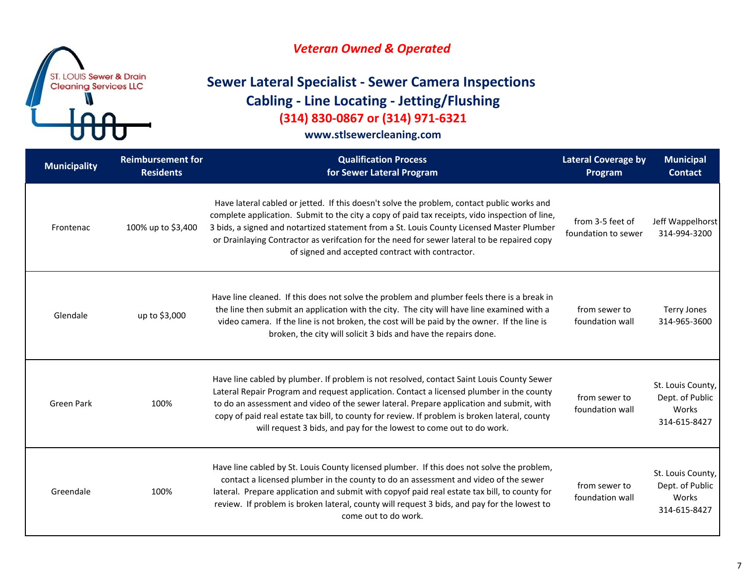

# **Sewer Lateral Specialist ‐ Sewer Camera Inspections Cabling ‐ Line Locating ‐ Jetting/Flushing (314) 830‐0867 or (314) 971‐6321**

| <b>Municipality</b> | <b>Reimbursement for</b><br><b>Residents</b> | <b>Qualification Process</b><br>for Sewer Lateral Program                                                                                                                                                                                                                                                                                                                                                                                                 | <b>Lateral Coverage by</b><br>Program   | <b>Municipal</b><br><b>Contact</b>                            |
|---------------------|----------------------------------------------|-----------------------------------------------------------------------------------------------------------------------------------------------------------------------------------------------------------------------------------------------------------------------------------------------------------------------------------------------------------------------------------------------------------------------------------------------------------|-----------------------------------------|---------------------------------------------------------------|
| Frontenac           | 100% up to \$3,400                           | Have lateral cabled or jetted. If this doesn't solve the problem, contact public works and<br>complete application. Submit to the city a copy of paid tax receipts, vido inspection of line,<br>3 bids, a signed and notartized statement from a St. Louis County Licensed Master Plumber<br>or Drainlaying Contractor as verifcation for the need for sewer lateral to be repaired copy<br>of signed and accepted contract with contractor.              | from 3-5 feet of<br>foundation to sewer | Jeff Wappelhorst<br>314-994-3200                              |
| Glendale            | up to \$3,000                                | Have line cleaned. If this does not solve the problem and plumber feels there is a break in<br>the line then submit an application with the city. The city will have line examined with a<br>video camera. If the line is not broken, the cost will be paid by the owner. If the line is<br>broken, the city will solicit 3 bids and have the repairs done.                                                                                               | from sewer to<br>foundation wall        | <b>Terry Jones</b><br>314-965-3600                            |
| <b>Green Park</b>   | 100%                                         | Have line cabled by plumber. If problem is not resolved, contact Saint Louis County Sewer<br>Lateral Repair Program and request application. Contact a licensed plumber in the county<br>to do an assessment and video of the sewer lateral. Prepare application and submit, with<br>copy of paid real estate tax bill, to county for review. If problem is broken lateral, county<br>will request 3 bids, and pay for the lowest to come out to do work. | from sewer to<br>foundation wall        | St. Louis County,<br>Dept. of Public<br>Works<br>314-615-8427 |
| Greendale           | 100%                                         | Have line cabled by St. Louis County licensed plumber. If this does not solve the problem,<br>contact a licensed plumber in the county to do an assessment and video of the sewer<br>lateral. Prepare application and submit with copyof paid real estate tax bill, to county for<br>review. If problem is broken lateral, county will request 3 bids, and pay for the lowest to<br>come out to do work.                                                  | from sewer to<br>foundation wall        | St. Louis County,<br>Dept. of Public<br>Works<br>314-615-8427 |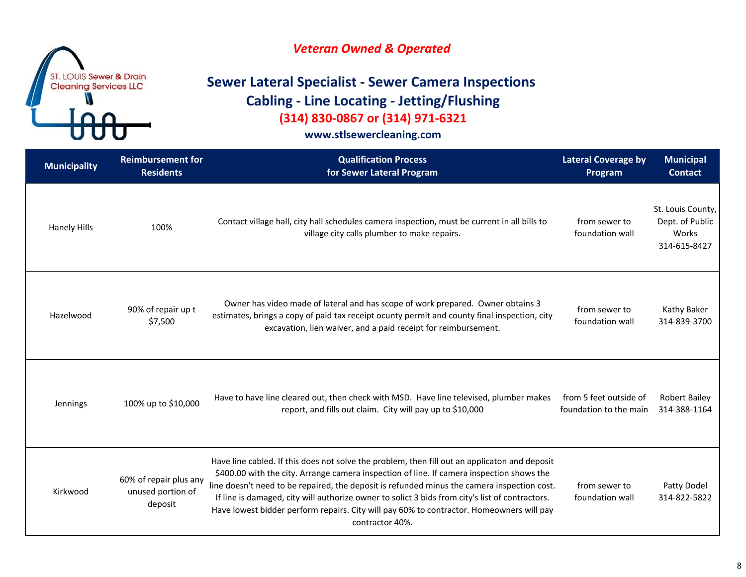### *Veteran Owned & Operated*

# **Sewer Lateral Specialist ‐ Sewer Camera Inspections Cabling ‐ Line Locating ‐ Jetting/Flushing (314) 830‐0867 or (314) 971‐6321**

| <b>Municipality</b> | <b>Reimbursement for</b><br><b>Residents</b>           | <b>Qualification Process</b><br>for Sewer Lateral Program                                                                                                                                                                                                                                                                                                                                                                                                                                                   | <b>Lateral Coverage by</b><br>Program            | <b>Municipal</b><br><b>Contact</b>                            |
|---------------------|--------------------------------------------------------|-------------------------------------------------------------------------------------------------------------------------------------------------------------------------------------------------------------------------------------------------------------------------------------------------------------------------------------------------------------------------------------------------------------------------------------------------------------------------------------------------------------|--------------------------------------------------|---------------------------------------------------------------|
| <b>Hanely Hills</b> | 100%                                                   | Contact village hall, city hall schedules camera inspection, must be current in all bills to<br>village city calls plumber to make repairs.                                                                                                                                                                                                                                                                                                                                                                 | from sewer to<br>foundation wall                 | St. Louis County,<br>Dept. of Public<br>Works<br>314-615-8427 |
| Hazelwood           | 90% of repair up t<br>\$7,500                          | Owner has video made of lateral and has scope of work prepared. Owner obtains 3<br>estimates, brings a copy of paid tax receipt ocunty permit and county final inspection, city<br>excavation, lien waiver, and a paid receipt for reimbursement.                                                                                                                                                                                                                                                           | from sewer to<br>foundation wall                 | Kathy Baker<br>314-839-3700                                   |
| Jennings            | 100% up to \$10,000                                    | Have to have line cleared out, then check with MSD. Have line televised, plumber makes<br>report, and fills out claim. City will pay up to \$10,000                                                                                                                                                                                                                                                                                                                                                         | from 5 feet outside of<br>foundation to the main | <b>Robert Bailey</b><br>314-388-1164                          |
| Kirkwood            | 60% of repair plus any<br>unused portion of<br>deposit | Have line cabled. If this does not solve the problem, then fill out an applicaton and deposit<br>\$400.00 with the city. Arrange camera inspection of line. If camera inspection shows the<br>line doesn't need to be repaired, the deposit is refunded minus the camera inspection cost.<br>If line is damaged, city will authorize owner to solict 3 bids from city's list of contractors.<br>Have lowest bidder perform repairs. City will pay 60% to contractor. Homeowners will pay<br>contractor 40%. | from sewer to<br>foundation wall                 | Patty Dodel<br>314-822-5822                                   |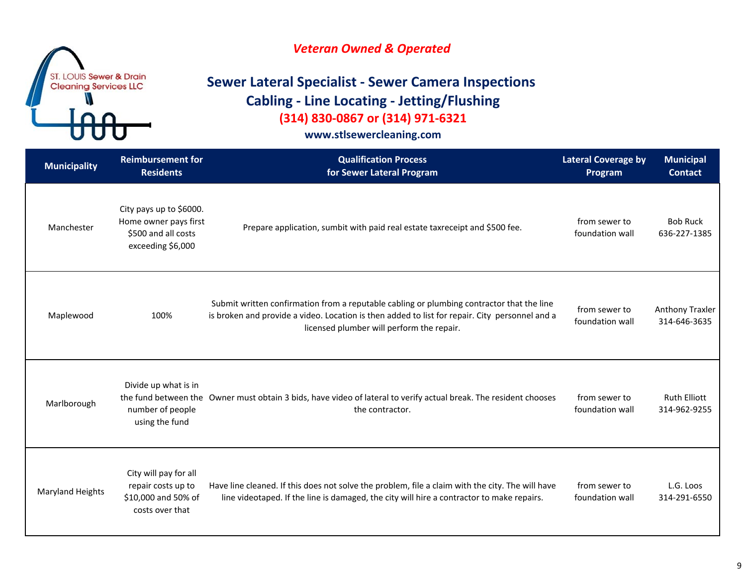

# **Sewer Lateral Specialist ‐ Sewer Camera Inspections Cabling ‐ Line Locating ‐ Jetting/Flushing (314) 830‐0867 or (314) 971‐6321**

| <b>Municipality</b>     | <b>Reimbursement for</b><br><b>Residents</b>                                                 | <b>Qualification Process</b><br>for Sewer Lateral Program                                                                                                                                                                                | <b>Lateral Coverage by</b><br>Program | <b>Municipal</b><br><b>Contact</b>  |
|-------------------------|----------------------------------------------------------------------------------------------|------------------------------------------------------------------------------------------------------------------------------------------------------------------------------------------------------------------------------------------|---------------------------------------|-------------------------------------|
| Manchester              | City pays up to \$6000.<br>Home owner pays first<br>\$500 and all costs<br>exceeding \$6,000 | Prepare application, sumbit with paid real estate taxreceipt and \$500 fee.                                                                                                                                                              | from sewer to<br>foundation wall      | <b>Bob Ruck</b><br>636-227-1385     |
| Maplewood               | 100%                                                                                         | Submit written confirmation from a reputable cabling or plumbing contractor that the line<br>is broken and provide a video. Location is then added to list for repair. City personnel and a<br>licensed plumber will perform the repair. | from sewer to<br>foundation wall      | Anthony Traxler<br>314-646-3635     |
| Marlborough             | Divide up what is in<br>number of people<br>using the fund                                   | the fund between the Owner must obtain 3 bids, have video of lateral to verify actual break. The resident chooses<br>the contractor.                                                                                                     | from sewer to<br>foundation wall      | <b>Ruth Elliott</b><br>314-962-9255 |
| <b>Maryland Heights</b> | City will pay for all<br>repair costs up to<br>\$10,000 and 50% of<br>costs over that        | Have line cleaned. If this does not solve the problem, file a claim with the city. The will have<br>line videotaped. If the line is damaged, the city will hire a contractor to make repairs.                                            | from sewer to<br>foundation wall      | L.G. Loos<br>314-291-6550           |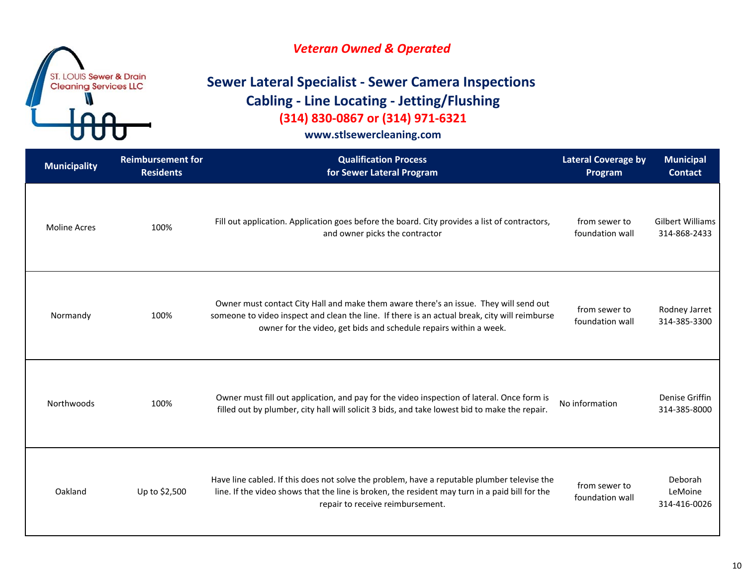### *Veteran Owned & Operated*

# **Sewer Lateral Specialist ‐ Sewer Camera Inspections Cabling ‐ Line Locating ‐ Jetting/Flushing (314) 830‐0867 or (314) 971‐6321**

| <b>Municipality</b> | <b>Reimbursement for</b><br><b>Residents</b> | <b>Qualification Process</b><br>for Sewer Lateral Program                                                                                                                                                                                                   | <b>Lateral Coverage by</b><br>Program | <b>Municipal</b><br><b>Contact</b>      |
|---------------------|----------------------------------------------|-------------------------------------------------------------------------------------------------------------------------------------------------------------------------------------------------------------------------------------------------------------|---------------------------------------|-----------------------------------------|
| <b>Moline Acres</b> | 100%                                         | Fill out application. Application goes before the board. City provides a list of contractors,<br>and owner picks the contractor                                                                                                                             | from sewer to<br>foundation wall      | <b>Gilbert Williams</b><br>314-868-2433 |
| Normandy            | 100%                                         | Owner must contact City Hall and make them aware there's an issue. They will send out<br>someone to video inspect and clean the line. If there is an actual break, city will reimburse<br>owner for the video, get bids and schedule repairs within a week. | from sewer to<br>foundation wall      | Rodney Jarret<br>314-385-3300           |
| Northwoods          | 100%                                         | Owner must fill out application, and pay for the video inspection of lateral. Once form is<br>filled out by plumber, city hall will solicit 3 bids, and take lowest bid to make the repair.                                                                 | No information                        | Denise Griffin<br>314-385-8000          |
| Oakland             | Up to \$2,500                                | Have line cabled. If this does not solve the problem, have a reputable plumber televise the<br>line. If the video shows that the line is broken, the resident may turn in a paid bill for the<br>repair to receive reimbursement.                           | from sewer to<br>foundation wall      | Deborah<br>LeMoine<br>314-416-0026      |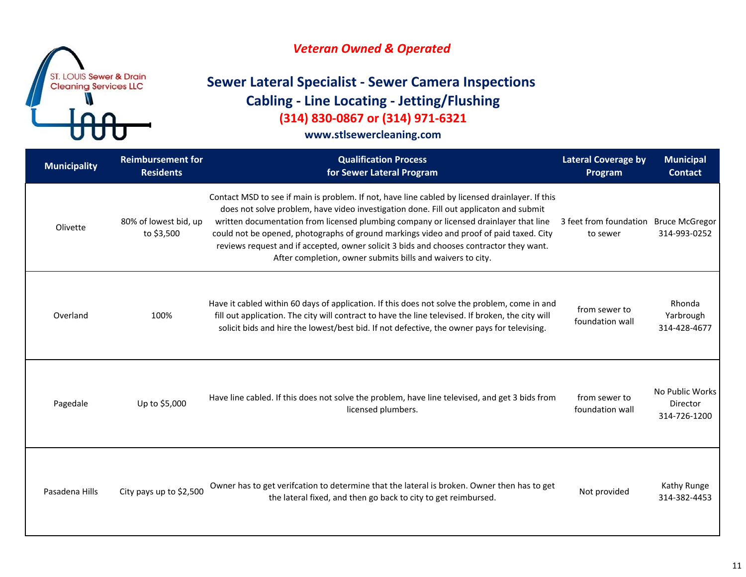

# **Sewer Lateral Specialist ‐ Sewer Camera Inspections Cabling ‐ Line Locating ‐ Jetting/Flushing (314) 830‐0867 or (314) 971‐6321**

| <b>Municipality</b> | <b>Reimbursement for</b><br><b>Residents</b> | <b>Qualification Process</b><br>for Sewer Lateral Program                                                                                                                                                                                                                                                                                                                                                                                                                                                                             | <b>Lateral Coverage by</b><br>Program | <b>Municipal</b><br><b>Contact</b>          |
|---------------------|----------------------------------------------|---------------------------------------------------------------------------------------------------------------------------------------------------------------------------------------------------------------------------------------------------------------------------------------------------------------------------------------------------------------------------------------------------------------------------------------------------------------------------------------------------------------------------------------|---------------------------------------|---------------------------------------------|
| Olivette            | 80% of lowest bid, up<br>to \$3,500          | Contact MSD to see if main is problem. If not, have line cabled by licensed drainlayer. If this<br>does not solve problem, have video investigation done. Fill out applicaton and submit<br>written documentation from licensed plumbing company or licensed drainlayer that line<br>could not be opened, photographs of ground markings video and proof of paid taxed. City<br>reviews request and if accepted, owner solicit 3 bids and chooses contractor they want.<br>After completion, owner submits bills and waivers to city. | 3 feet from foundation<br>to sewer    | <b>Bruce McGregor</b><br>314-993-0252       |
| Overland            | 100%                                         | Have it cabled within 60 days of application. If this does not solve the problem, come in and<br>fill out application. The city will contract to have the line televised. If broken, the city will<br>solicit bids and hire the lowest/best bid. If not defective, the owner pays for televising.                                                                                                                                                                                                                                     | from sewer to<br>foundation wall      | Rhonda<br>Yarbrough<br>314-428-4677         |
| Pagedale            | Up to \$5,000                                | Have line cabled. If this does not solve the problem, have line televised, and get 3 bids from<br>licensed plumbers.                                                                                                                                                                                                                                                                                                                                                                                                                  | from sewer to<br>foundation wall      | No Public Works<br>Director<br>314-726-1200 |
| Pasadena Hills      | City pays up to \$2,500                      | Owner has to get verifcation to determine that the lateral is broken. Owner then has to get<br>the lateral fixed, and then go back to city to get reimbursed.                                                                                                                                                                                                                                                                                                                                                                         | Not provided                          | Kathy Runge<br>314-382-4453                 |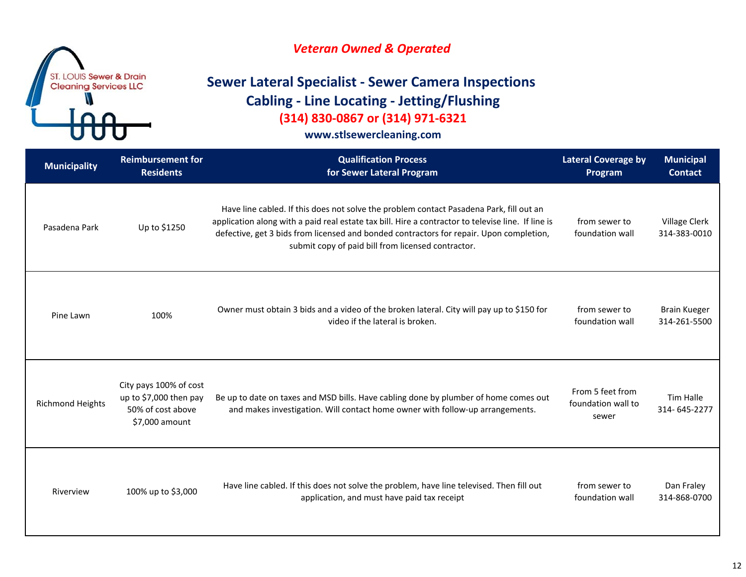

# **Sewer Lateral Specialist ‐ Sewer Camera Inspections Cabling ‐ Line Locating ‐ Jetting/Flushing (314) 830‐0867 or (314) 971‐6321**

| <b>Municipality</b>     | <b>Reimbursement for</b><br><b>Residents</b>                                            | <b>Qualification Process</b><br>for Sewer Lateral Program                                                                                                                                                                                                                                                                                      | <b>Lateral Coverage by</b><br>Program           | <b>Municipal</b><br><b>Contact</b>  |
|-------------------------|-----------------------------------------------------------------------------------------|------------------------------------------------------------------------------------------------------------------------------------------------------------------------------------------------------------------------------------------------------------------------------------------------------------------------------------------------|-------------------------------------------------|-------------------------------------|
| Pasadena Park           | Up to \$1250                                                                            | Have line cabled. If this does not solve the problem contact Pasadena Park, fill out an<br>application along with a paid real estate tax bill. Hire a contractor to televise line. If line is<br>defective, get 3 bids from licensed and bonded contractors for repair. Upon completion,<br>submit copy of paid bill from licensed contractor. | from sewer to<br>foundation wall                | Village Clerk<br>314-383-0010       |
| Pine Lawn               | 100%                                                                                    | Owner must obtain 3 bids and a video of the broken lateral. City will pay up to \$150 for<br>video if the lateral is broken.                                                                                                                                                                                                                   | from sewer to<br>foundation wall                | <b>Brain Kueger</b><br>314-261-5500 |
| <b>Richmond Heights</b> | City pays 100% of cost<br>up to \$7,000 then pay<br>50% of cost above<br>\$7,000 amount | Be up to date on taxes and MSD bills. Have cabling done by plumber of home comes out<br>and makes investigation. Will contact home owner with follow-up arrangements.                                                                                                                                                                          | From 5 feet from<br>foundation wall to<br>sewer | Tim Halle<br>314-645-2277           |
| Riverview               | 100% up to \$3,000                                                                      | Have line cabled. If this does not solve the problem, have line televised. Then fill out<br>application, and must have paid tax receipt                                                                                                                                                                                                        | from sewer to<br>foundation wall                | Dan Fraley<br>314-868-0700          |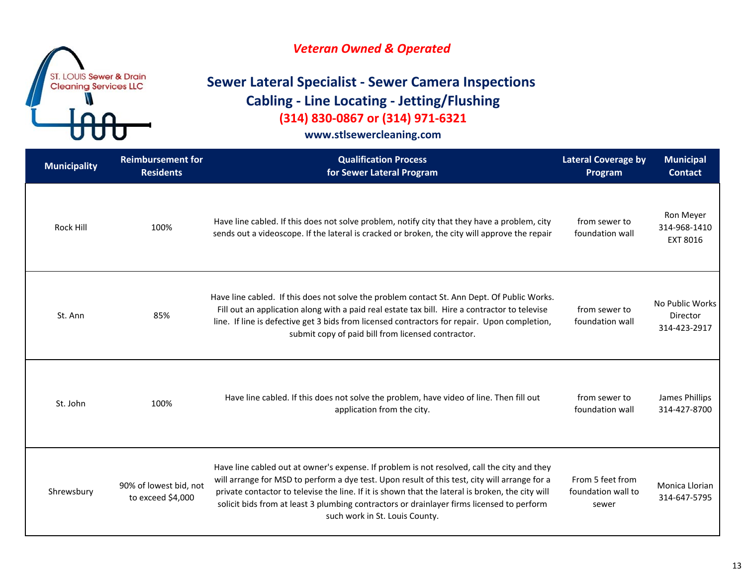### *Veteran Owned & Operated*

# **Sewer Lateral Specialist ‐ Sewer Camera Inspections Cabling ‐ Line Locating ‐ Jetting/Flushing (314) 830‐0867 or (314) 971‐6321**

| <b>Municipality</b> | <b>Reimbursement for</b><br><b>Residents</b> | <b>Qualification Process</b><br>for Sewer Lateral Program                                                                                                                                                                                                                                                                                                                                                                       | <b>Lateral Coverage by</b><br>Program           | <b>Municipal</b><br><b>Contact</b>                 |
|---------------------|----------------------------------------------|---------------------------------------------------------------------------------------------------------------------------------------------------------------------------------------------------------------------------------------------------------------------------------------------------------------------------------------------------------------------------------------------------------------------------------|-------------------------------------------------|----------------------------------------------------|
| <b>Rock Hill</b>    | 100%                                         | Have line cabled. If this does not solve problem, notify city that they have a problem, city<br>sends out a videoscope. If the lateral is cracked or broken, the city will approve the repair                                                                                                                                                                                                                                   | from sewer to<br>foundation wall                | Ron Meyer<br>314-968-1410<br>EXT 8016              |
| St. Ann             | 85%                                          | Have line cabled. If this does not solve the problem contact St. Ann Dept. Of Public Works.<br>Fill out an application along with a paid real estate tax bill. Hire a contractor to televise<br>line. If line is defective get 3 bids from licensed contractors for repair. Upon completion,<br>submit copy of paid bill from licensed contractor.                                                                              | from sewer to<br>foundation wall                | No Public Works<br><b>Director</b><br>314-423-2917 |
| St. John            | 100%                                         | Have line cabled. If this does not solve the problem, have video of line. Then fill out<br>application from the city.                                                                                                                                                                                                                                                                                                           | from sewer to<br>foundation wall                | James Phillips<br>314-427-8700                     |
| Shrewsbury          | 90% of lowest bid, not<br>to exceed \$4,000  | Have line cabled out at owner's expense. If problem is not resolved, call the city and they<br>will arrange for MSD to perform a dye test. Upon result of this test, city will arrange for a<br>private contactor to televise the line. If it is shown that the lateral is broken, the city will<br>solicit bids from at least 3 plumbing contractors or drainlayer firms licensed to perform<br>such work in St. Louis County. | From 5 feet from<br>foundation wall to<br>sewer | Monica Llorian<br>314-647-5795                     |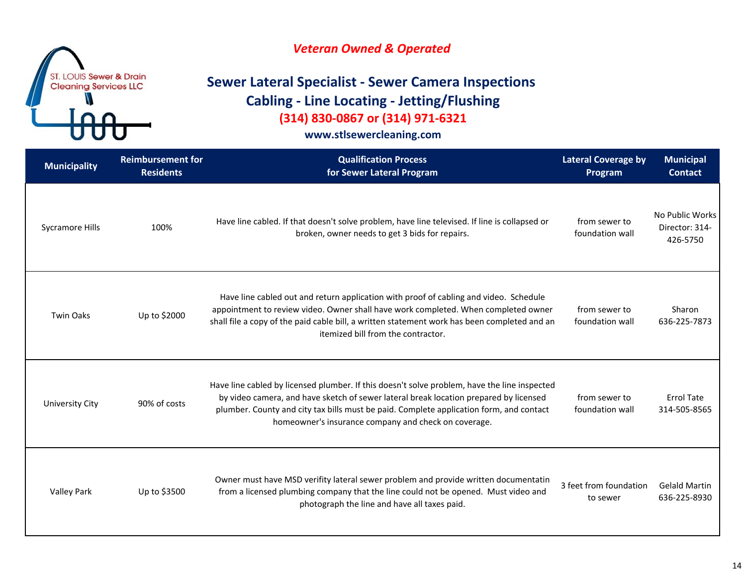### *Veteran Owned & Operated*

# **Sewer Lateral Specialist ‐ Sewer Camera Inspections Cabling ‐ Line Locating ‐ Jetting/Flushing (314) 830‐0867 or (314) 971‐6321**

| <b>Municipality</b>    | <b>Reimbursement for</b><br><b>Residents</b> | <b>Qualification Process</b><br>for Sewer Lateral Program                                                                                                                                                                                                                                                                                | <b>Lateral Coverage by</b><br>Program | <b>Municipal</b><br><b>Contact</b>            |
|------------------------|----------------------------------------------|------------------------------------------------------------------------------------------------------------------------------------------------------------------------------------------------------------------------------------------------------------------------------------------------------------------------------------------|---------------------------------------|-----------------------------------------------|
| <b>Sycramore Hills</b> | 100%                                         | Have line cabled. If that doesn't solve problem, have line televised. If line is collapsed or<br>broken, owner needs to get 3 bids for repairs.                                                                                                                                                                                          | from sewer to<br>foundation wall      | No Public Works<br>Director: 314-<br>426-5750 |
| <b>Twin Oaks</b>       | Up to \$2000                                 | Have line cabled out and return application with proof of cabling and video. Schedule<br>appointment to review video. Owner shall have work completed. When completed owner<br>shall file a copy of the paid cable bill, a written statement work has been completed and an<br>itemized bill from the contractor.                        | from sewer to<br>foundation wall      | Sharon<br>636-225-7873                        |
| <b>University City</b> | 90% of costs                                 | Have line cabled by licensed plumber. If this doesn't solve problem, have the line inspected<br>by video camera, and have sketch of sewer lateral break location prepared by licensed<br>plumber. County and city tax bills must be paid. Complete application form, and contact<br>homeowner's insurance company and check on coverage. | from sewer to<br>foundation wall      | <b>Errol Tate</b><br>314-505-8565             |
| <b>Valley Park</b>     | Up to \$3500                                 | Owner must have MSD verifity lateral sewer problem and provide written documentatin<br>from a licensed plumbing company that the line could not be opened. Must video and<br>photograph the line and have all taxes paid.                                                                                                                | 3 feet from foundation<br>to sewer    | <b>Gelald Martin</b><br>636-225-8930          |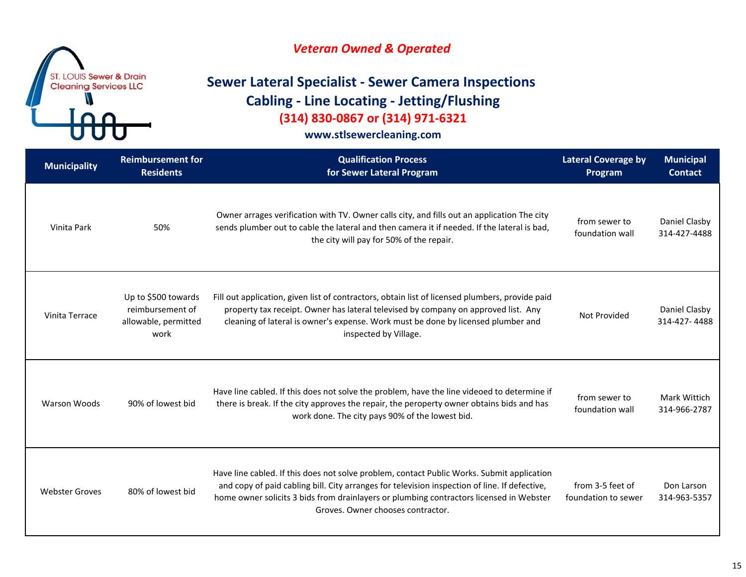

# **Sewer Lateral Specialist ‐ Sewer Camera Inspections Cabling ‐ Line Locating ‐ Jetting/Flushing (314) 830‐0867 or (314) 971‐6321**

| <b>Municipality</b>   | <b>Reimbursement for</b><br><b>Residents</b>                            | <b>Qualification Process</b><br>for Sewer Lateral Program                                                                                                                                                                                                                                                                   | <b>Lateral Coverage by</b><br>Program   | <b>Municipal</b><br><b>Contact</b> |
|-----------------------|-------------------------------------------------------------------------|-----------------------------------------------------------------------------------------------------------------------------------------------------------------------------------------------------------------------------------------------------------------------------------------------------------------------------|-----------------------------------------|------------------------------------|
| Vinita Park           | 50%                                                                     | Owner arrages verification with TV. Owner calls city, and fills out an application The city<br>sends plumber out to cable the lateral and then camera it if needed. If the lateral is bad,<br>the city will pay for 50% of the repair.                                                                                      | from sewer to<br>foundation wall        | Daniel Clasby<br>314-427-4488      |
| Vinita Terrace        | Up to \$500 towards<br>reimbursement of<br>allowable, permitted<br>work | Fill out application, given list of contractors, obtain list of licensed plumbers, provide paid<br>property tax receipt. Owner has lateral televised by company on approved list. Any<br>cleaning of lateral is owner's expense. Work must be done by licensed plumber and<br>inspected by Village.                         | <b>Not Provided</b>                     | Daniel Clasby<br>314-427-4488      |
| <b>Warson Woods</b>   | 90% of lowest bid                                                       | Have line cabled. If this does not solve the problem, have the line videoed to determine if<br>there is break. If the city approves the repair, the peroperty owner obtains bids and has<br>work done. The city pays 90% of the lowest bid.                                                                                 | from sewer to<br>foundation wall        | Mark Wittich<br>314-966-2787       |
| <b>Webster Groves</b> | 80% of lowest bid                                                       | Have line cabled. If this does not solve problem, contact Public Works. Submit application<br>and copy of paid cabling bill. City arranges for television inspection of line. If defective,<br>home owner solicits 3 bids from drainlayers or plumbing contractors licensed in Webster<br>Groves. Owner chooses contractor. | from 3-5 feet of<br>foundation to sewer | Don Larson<br>314-963-5357         |